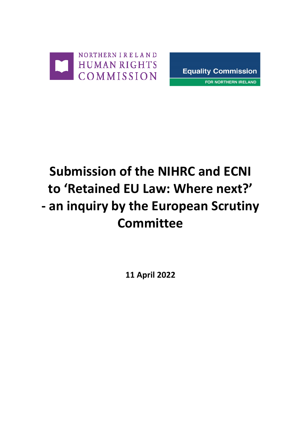



# **Submission of the NIHRC and ECNI to 'Retained EU Law: Where next?' - an inquiry by the European Scrutiny Committee**

**11 April 2022**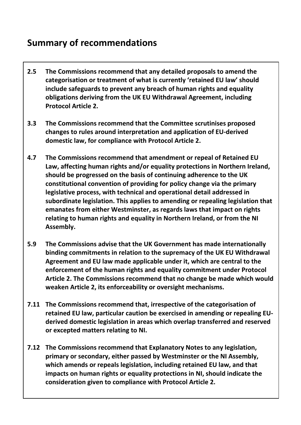#### **Summary of recommendations**

- **2.5 The Commissions recommend that any detailed proposals to amend the categorisation or treatment of what is currently 'retained EU law' should include safeguards to prevent any breach of human rights and equality obligations deriving from the UK EU Withdrawal Agreement, including Protocol Article 2.**
- **3.3 The Commissions recommend that the Committee scrutinises proposed changes to rules around interpretation and application of EU-derived domestic law, for compliance with Protocol Article 2.**
- **4.7 The Commissions recommend that amendment or repeal of Retained EU Law, affecting human rights and/or equality protections in Northern Ireland, should be progressed on the basis of continuing adherence to the UK constitutional convention of providing for policy change via the primary legislative process, with technical and operational detail addressed in subordinate legislation. This applies to amending or repealing legislation that emanates from either Westminster, as regards laws that impact on rights relating to human rights and equality in Northern Ireland, or from the NI Assembly.**
- **5.9 The Commissions advise that the UK Government has made internationally binding commitments in relation to the supremacy of the UK EU Withdrawal Agreement and EU law made applicable under it, which are central to the enforcement of the human rights and equality commitment under Protocol Article 2. The Commissions recommend that no change be made which would weaken Article 2, its enforceability or oversight mechanisms.**
- **7.11 The Commissions recommend that, irrespective of the categorisation of retained EU law, particular caution be exercised in amending or repealing EUderived domestic legislation in areas which overlap transferred and reserved or excepted matters relating to NI.**
- **7.12 The Commissions recommend that Explanatory Notes to any legislation, primary or secondary, either passed by Westminster or the NI Assembly, which amends or repeals legislation, including retained EU law, and that impacts on human rights or equality protections in NI, should indicate the consideration given to compliance with Protocol Article 2.**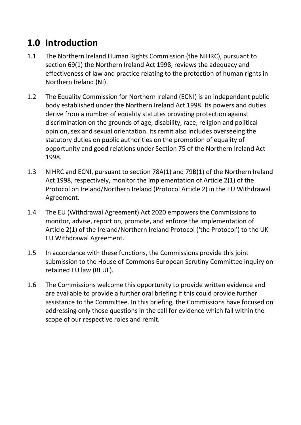# **1.0 Introduction**

- 1.1 The Northern Ireland Human Rights Commission (the NIHRC), pursuant to section 69(1) the Northern Ireland Act 1998, reviews the adequacy and effectiveness of law and practice relating to the protection of human rights in Northern Ireland (NI).
- 1.2 The Equality Commission for Northern Ireland (ECNI) is an independent public body established under the Northern Ireland Act 1998. Its powers and duties derive from a number of equality statutes providing protection against discrimination on the grounds of age, disability, race, religion and political opinion, sex and sexual orientation. Its remit also includes overseeing the statutory duties on public authorities on the promotion of equality of opportunity and good relations under Section 75 of the Northern Ireland Act 1998.
- 1.3 NIHRC and ECNI, pursuant to section 78A(1) and 79B(1) of the Northern Ireland Act 1998, respectively, monitor the implementation of Article 2(1) of the Protocol on Ireland/Northern Ireland (Protocol Article 2) in the EU Withdrawal Agreement.
- 1.4 The EU (Withdrawal Agreement) Act 2020 empowers the Commissions to monitor, advise, report on, promote, and enforce the implementation of Article 2(1) of the Ireland/Northern Ireland Protocol ('the Protocol') to the UK-EU Withdrawal Agreement.
- 1.5 In accordance with these functions, the Commissions provide this joint submission to the House of Commons European Scrutiny Committee inquiry on retained EU law (REUL).
- 1.6 The Commissions welcome this opportunity to provide written evidence and are available to provide a further oral briefing if this could provide further assistance to the Committee. In this briefing, the Commissions have focused on addressing only those questions in the call for evidence which fall within the scope of our respective roles and remit.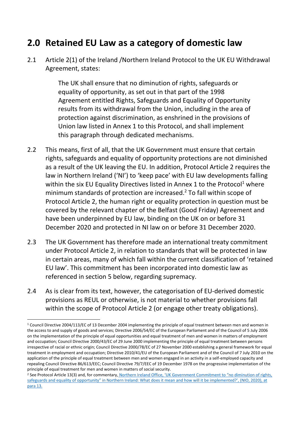#### **2.0 Retained EU Law as a category of domestic law**

2.1 Article 2(1) of the Ireland /Northern Ireland Protocol to the UK EU Withdrawal Agreement, states:

> The UK shall ensure that no diminution of rights, safeguards or equality of opportunity, as set out in that part of the 1998 Agreement entitled Rights, Safeguards and Equality of Opportunity results from its withdrawal from the Union, including in the area of protection against discrimination, as enshrined in the provisions of Union law listed in Annex 1 to this Protocol, and shall implement this paragraph through dedicated mechanisms.

- 2.2 This means, first of all, that the UK Government must ensure that certain rights, safeguards and equality of opportunity protections are not diminished as a result of the UK leaving the EU. In addition, Protocol Article 2 requires the law in Northern Ireland ('NI') to 'keep pace' with EU law developments falling within the six EU Equality Directives listed in Annex 1 to the Protocol<sup>1</sup> where minimum standards of protection are increased. <sup>2</sup> To fall within scope of Protocol Article 2, the human right or equality protection in question must be covered by the relevant chapter of the Belfast (Good Friday) Agreement and have been underpinned by EU law, binding on the UK on or before 31 December 2020 and protected in NI law on or before 31 December 2020.
- 2.3 The UK Government has therefore made an international treaty commitment under Protocol Article 2, in relation to standards that will be protected in law in certain areas, many of which fall within the current classification of 'retained EU law'. This commitment has been incorporated into domestic law as referenced in section 5 below, regarding supremacy.
- 2.4 As is clear from its text, however, the categorisation of EU-derived domestic provisions as REUL or otherwise, is not material to whether provisions fall within the scope of Protocol Article 2 (or engage other treaty obligations).

<sup>1</sup> Council Directive 2004/113/EC of 13 December 2004 implementing the principle of equal treatment between men and women in the access to and supply of goods and services; Directive 2006/54/EC of the European Parliament and of the Council of 5 July 2006 on the implementation of the principle of equal opportunities and equal treatment of men and women in matters of employment and occupation; Council Directive 2000/43/EC of 29 June 2000 implementing the principle of equal treatment between persons irrespective of racial or ethnic origin; Council Directive 2000/78/EC of 27 November 2000 establishing a general framework for equal treatment in employment and occupation; Directive 2010/41/EU of the European Parliament and of the Council of 7 July 2010 on the application of the principle of equal treatment between men and women engaged in an activity in a self-employed capacity and repealing Council Directive 86/613/EEC; Council Directive 79/7/EEC of 19 December 1978 on the progressive implementation of the principle of equal treatment for men and women in matters of social security.

<sup>&</sup>lt;sup>2</sup> See Protocol Article 13(3) and, for commentary, Northern Ireland Office, 'UK Government Commitment to "no diminution of rights, safeguards and equality of opportunity" in Northern Ireland: What does it mean and how will it be implemented?', (NIO, 2020), at para 13.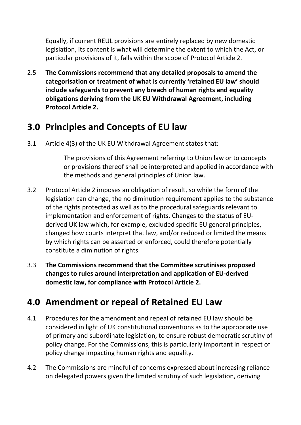Equally, if current REUL provisions are entirely replaced by new domestic legislation, its content is what will determine the extent to which the Act, or particular provisions of it, falls within the scope of Protocol Article 2.

2.5 **The Commissions recommend that any detailed proposals to amend the categorisation or treatment of what is currently 'retained EU law' should include safeguards to prevent any breach of human rights and equality obligations deriving from the UK EU Withdrawal Agreement, including Protocol Article 2.** 

#### **3.0 Principles and Concepts of EU law**

3.1 Article 4(3) of the UK EU Withdrawal Agreement states that:

The provisions of this Agreement referring to Union law or to concepts or provisions thereof shall be interpreted and applied in accordance with the methods and general principles of Union law.

- 3.2 Protocol Article 2 imposes an obligation of result, so while the form of the legislation can change, the no diminution requirement applies to the substance of the rights protected as well as to the procedural safeguards relevant to implementation and enforcement of rights. Changes to the status of EUderived UK law which, for example, excluded specific EU general principles, changed how courts interpret that law, and/or reduced or limited the means by which rights can be asserted or enforced, could therefore potentially constitute a diminution of rights.
- 3.3 **The Commissions recommend that the Committee scrutinises proposed changes to rules around interpretation and application of EU-derived domestic law, for compliance with Protocol Article 2.**

#### **4.0 Amendment or repeal of Retained EU Law**

- 4.1 Procedures for the amendment and repeal of retained EU law should be considered in light of UK constitutional conventions as to the appropriate use of primary and subordinate legislation, to ensure robust democratic scrutiny of policy change. For the Commissions, this is particularly important in respect of policy change impacting human rights and equality.
- 4.2 The Commissions are mindful of concerns expressed about increasing reliance on delegated powers given the limited scrutiny of such legislation, deriving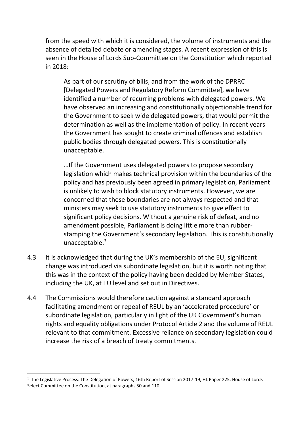from the speed with which it is considered, the volume of instruments and the absence of detailed debate or amending stages. A recent expression of this is seen in the House of Lords Sub-Committee on the Constitution which reported in 2018:

As part of our scrutiny of bills, and from the work of the DPRRC [Delegated Powers and Regulatory Reform Committee], we have identified a number of recurring problems with delegated powers. We have observed an increasing and constitutionally objectionable trend for the Government to seek wide delegated powers, that would permit the determination as well as the implementation of policy. In recent years the Government has sought to create criminal offences and establish public bodies through delegated powers. This is constitutionally unacceptable.

…If the Government uses delegated powers to propose secondary legislation which makes technical provision within the boundaries of the policy and has previously been agreed in primary legislation, Parliament is unlikely to wish to block statutory instruments. However, we are concerned that these boundaries are not always respected and that ministers may seek to use statutory instruments to give effect to significant policy decisions. Without a genuine risk of defeat, and no amendment possible, Parliament is doing little more than rubberstamping the Government's secondary legislation. This is constitutionally unacceptable.<sup>3</sup>

- 4.3 It is acknowledged that during the UK's membership of the EU, significant change was introduced via subordinate legislation, but it is worth noting that this was in the context of the policy having been decided by Member States, including the UK, at EU level and set out in Directives.
- 4.4 The Commissions would therefore caution against a standard approach facilitating amendment or repeal of REUL by an 'accelerated procedure' or subordinate legislation, particularly in light of the UK Government's human rights and equality obligations under Protocol Article 2 and the volume of REUL relevant to that commitment. Excessive reliance on secondary legislation could increase the risk of a breach of treaty commitments.

<sup>&</sup>lt;sup>3</sup> The Legislative Process: The Delegation of Powers, 16th Report of Session 2017-19, HL Paper 225, House of Lords Select Committee on the Constitution, at paragraphs 50 and 110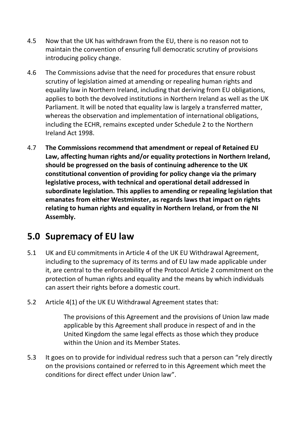- 4.5 Now that the UK has withdrawn from the EU, there is no reason not to maintain the convention of ensuring full democratic scrutiny of provisions introducing policy change.
- 4.6 The Commissions advise that the need for procedures that ensure robust scrutiny of legislation aimed at amending or repealing human rights and equality law in Northern Ireland, including that deriving from EU obligations, applies to both the devolved institutions in Northern Ireland as well as the UK Parliament. It will be noted that equality law is largely a transferred matter, whereas the observation and implementation of international obligations, including the ECHR, remains excepted under Schedule 2 to the Northern Ireland Act 1998.
- 4.7 **The Commissions recommend that amendment or repeal of Retained EU Law, affecting human rights and/or equality protections in Northern Ireland, should be progressed on the basis of continuing adherence to the UK constitutional convention of providing for policy change via the primary legislative process, with technical and operational detail addressed in subordinate legislation. This applies to amending or repealing legislation that emanates from either Westminster, as regards laws that impact on rights relating to human rights and equality in Northern Ireland, or from the NI Assembly.**

# **5.0 Supremacy of EU law**

- 5.1 UK and EU commitments in Article 4 of the UK EU Withdrawal Agreement, including to the supremacy of its terms and of EU law made applicable under it, are central to the enforceability of the Protocol Article 2 commitment on the protection of human rights and equality and the means by which individuals can assert their rights before a domestic court.
- 5.2 Article 4(1) of the UK EU Withdrawal Agreement states that:

The provisions of this Agreement and the provisions of Union law made applicable by this Agreement shall produce in respect of and in the United Kingdom the same legal effects as those which they produce within the Union and its Member States.

5.3 It goes on to provide for individual redress such that a person can "rely directly on the provisions contained or referred to in this Agreement which meet the conditions for direct effect under Union law".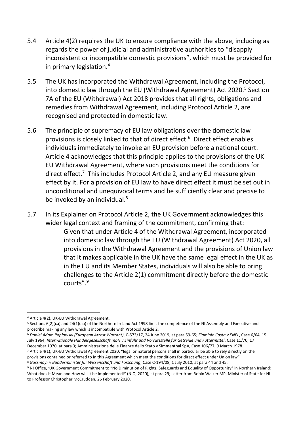- 5.4 Article 4(2) requires the UK to ensure compliance with the above, including as regards the power of judicial and administrative authorities to "disapply inconsistent or incompatible domestic provisions", which must be provided for in primary legislation.<sup>4</sup>
- 5.5 The UK has incorporated the Withdrawal Agreement, including the Protocol, into domestic law through the EU (Withdrawal Agreement) Act 2020.<sup>5</sup> Section 7A of the EU (Withdrawal) Act 2018 provides that all rights, obligations and remedies from Withdrawal Agreement, including Protocol Article 2, are recognised and protected in domestic law.
- 5.6 The principle of supremacy of EU law obligations over the domestic law provisions is closely linked to that of direct effect.<sup>6</sup> Direct effect enables individuals immediately to invoke an EU provision before a national court. Article 4 acknowledges that this principle applies to the provisions of the UK-EU Withdrawal Agreement, where such provisions meet the conditions for direct effect.<sup>7</sup> This includes Protocol Article 2, and any EU measure given effect by it. For a provision of EU law to have direct effect it must be set out in unconditional and unequivocal terms and be sufficiently clear and precise to be invoked by an individual.<sup>8</sup>
- 5.7 In its Explainer on Protocol Article 2, the UK Government acknowledges this wider legal context and framing of the commitment, confirming that: Given that under Article 4 of the Withdrawal Agreement, incorporated into domestic law through the EU (Withdrawal Agreement) Act 2020, all provisions in the Withdrawal Agreement and the provisions of Union law that it makes applicable in the UK have the same legal effect in the UK as in the EU and its Member States, individuals will also be able to bring challenges to the Article 2(1) commitment directly before the domestic courts".<sup>9</sup>

<sup>4</sup> Article 4(2), UK-EU Withdrawal Agreement.

<sup>5</sup> Sections 6(2)(ca) and 24(1)(aa) of the Northern Ireland Act 1998 limit the competence of the NI Assembly and Executive and proscribe making any law which is incompatible with Protocol Article 2.

<sup>6</sup> *Daniel Adam Popławski (European Arrest Warrant)*, C-573/17, 24 June 2019, at para 59-65; *Flaminio Costa v ENEL*, Case 6/64, 15 July 1964; *Internationale Handelsgesellschaft mbH v Einfuhr und Vorratsstelle für Getreide und Futtermittel*, Case 11/70, 17 December 1970, at para 3; Amministrazione delle Finanze dello Stato v Simmenthal SpA, Case 106/77, 9 March 1978.

<sup>7</sup> Article 4(1), UK-EU Withdrawal Agreement 2020: "legal or natural persons shall in particular be able to rely directly on the provisions contained or referred to in this Agreement which meet the conditions for direct effect under Union law".

<sup>8</sup> *Gassmayr v Bundesminister für Wissenschaft und Forschung*, Case C-194/08, 1 July 2010, at para 44 and 45.

<sup>9</sup> NI Office, 'UK Government Commitment to "No Diminution of Rights, Safeguards and Equality of Opportunity" in Northern Ireland: What does it Mean and How will it be Implemented?' (NIO, 2020), at para 29; Letter from Robin Walker MP, Minister of State for NI to Professor Christopher McCrudden, 26 February 2020.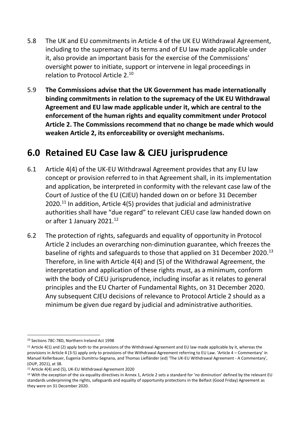- 5.8 The UK and EU commitments in Article 4 of the UK EU Withdrawal Agreement, including to the supremacy of its terms and of EU law made applicable under it, also provide an important basis for the exercise of the Commissions' oversight power to initiate, support or intervene in legal proceedings in relation to Protocol Article 2.<sup>10</sup>
- 5.9 **The Commissions advise that the UK Government has made internationally binding commitments in relation to the supremacy of the UK EU Withdrawal Agreement and EU law made applicable under it, which are central to the enforcement of the human rights and equality commitment under Protocol Article 2. The Commissions recommend that no change be made which would weaken Article 2, its enforceability or oversight mechanisms.**

#### **6.0 Retained EU Case law & CJEU jurisprudence**

- 6.1 Article 4(4) of the UK-EU Withdrawal Agreement provides that any EU law concept or provision referred to in that Agreement shall, in its implementation and application, be interpreted in conformity with the relevant case law of the Court of Justice of the EU (CJEU) handed down on or before 31 December  $2020$ <sup>11</sup> In addition, Article 4(5) provides that judicial and administrative authorities shall have "due regard" to relevant CJEU case law handed down on or after 1 January 2021.<sup>12</sup>
- 6.2 The protection of rights, safeguards and equality of opportunity in Protocol Article 2 includes an overarching non-diminution guarantee, which freezes the baseline of rights and safeguards to those that applied on 31 December 2020.<sup>13</sup> Therefore, in line with Article 4(4) and (5) of the Withdrawal Agreement, the interpretation and application of these rights must, as a minimum, conform with the body of CJEU jurisprudence, including insofar as it relates to general principles and the EU Charter of Fundamental Rights, on 31 December 2020. Any subsequent CJEU decisions of relevance to Protocol Article 2 should as a minimum be given due regard by judicial and administrative authorities.

<sup>1</sup> <sup>10</sup> Sections 78C-78D, Northern Ireland Act 1998

<sup>&</sup>lt;sup>11</sup> Article 4(1) and (2) apply both to the provisions of the Withdrawal Agreement and EU law made applicable by it, whereas the provisions in Article 4 (3-5) apply only to provisions of the Withdrawal Agreement referring to EU Law. 'Article 4 – Commentary' in Manuel Kellerbauer, Eugenia Dumitriu-Segnana, and Thomas Liefländer (ed) 'The UK-EU Withdrawal Agreement - A Commentary', (OUP, 2021), at 38.

<sup>12</sup> Article 4(4) and (5), UK-EU Withdrawal Agreement 2020

<sup>&</sup>lt;sup>13</sup> With the exception of the six equality directives in Annex 1, Article 2 sets a standard for 'no diminution' defined by the relevant EU standards underpinning the rights, safeguards and equality of opportunity protections in the Belfast (Good Friday) Agreement as they were on 31 December 2020.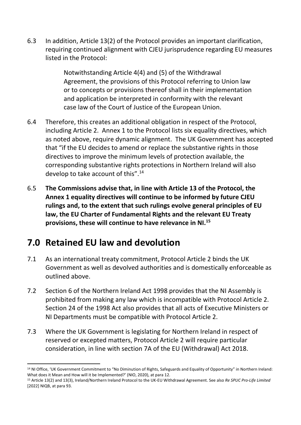6.3 In addition, Article 13(2) of the Protocol provides an important clarification, requiring continued alignment with CJEU jurisprudence regarding EU measures listed in the Protocol:

> Notwithstanding Article 4(4) and (5) of the Withdrawal Agreement, the provisions of this Protocol referring to Union law or to concepts or provisions thereof shall in their implementation and application be interpreted in conformity with the relevant case law of the Court of Justice of the European Union.

- 6.4 Therefore, this creates an additional obligation in respect of the Protocol, including Article 2. Annex 1 to the Protocol lists six equality directives, which as noted above, require dynamic alignment. The UK Government has accepted that "if the EU decides to amend or replace the substantive rights in those directives to improve the minimum levels of protection available, the corresponding substantive rights protections in Northern Ireland will also develop to take account of this".<sup>14</sup>
- 6.5 **The Commissions advise that, in line with Article 13 of the Protocol, the Annex 1 equality directives will continue to be informed by future CJEU rulings and, to the extent that such rulings evolve general principles of EU law, the EU Charter of Fundamental Rights and the relevant EU Treaty provisions, these will continue to have relevance in NI.<sup>15</sup>**

# **7.0 Retained EU law and devolution**

 $\overline{a}$ 

- 7.1 As an international treaty commitment, Protocol Article 2 binds the UK Government as well as devolved authorities and is domestically enforceable as outlined above.
- 7.2 Section 6 of the Northern Ireland Act 1998 provides that the NI Assembly is prohibited from making any law which is incompatible with Protocol Article 2. Section 24 of the 1998 Act also provides that all acts of Executive Ministers or NI Departments must be compatible with Protocol Article 2.
- 7.3 Where the UK Government is legislating for Northern Ireland in respect of reserved or excepted matters, Protocol Article 2 will require particular consideration, in line with section 7A of the EU (Withdrawal) Act 2018.

<sup>&</sup>lt;sup>14</sup> NI Office, 'UK Government Commitment to "No Diminution of Rights, Safeguards and Equality of Opportunity" in Northern Ireland: What does it Mean and How will it be Implemented?' (NIO, 2020), at para 12.

<sup>15</sup> Article 13(2) and 13(3), Ireland/Northern Ireland Protocol to the UK-EU Withdrawal Agreement. See also *Re SPUC Pro-Life Limited*  [2022] NIQB, at para 93.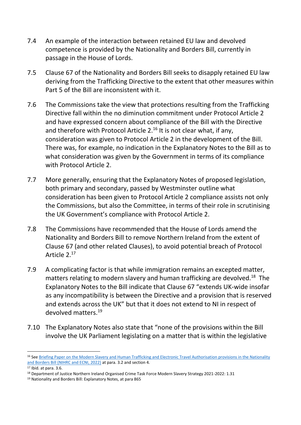- 7.4 An example of the interaction between retained EU law and devolved competence is provided by the Nationality and Borders Bill, currently in passage in the House of Lords.
- 7.5 Clause 67 of the Nationality and Borders Bill seeks to disapply retained EU law deriving from the Trafficking Directive to the extent that other measures within Part 5 of the Bill are inconsistent with it.
- 7.6 The Commissions take the view that protections resulting from the Trafficking Directive fall within the no diminution commitment under Protocol Article 2 and have expressed concern about compliance of the Bill with the Directive and therefore with Protocol Article 2.<sup>16</sup> It is not clear what, if any, consideration was given to Protocol Article 2 in the development of the Bill. There was, for example, no indication in the Explanatory Notes to the Bill as to what consideration was given by the Government in terms of its compliance with Protocol Article 2.
- 7.7 More generally, ensuring that the Explanatory Notes of proposed legislation, both primary and secondary, passed by Westminster outline what consideration has been given to Protocol Article 2 compliance assists not only the Commissions, but also the Committee, in terms of their role in scrutinising the UK Government's compliance with Protocol Article 2.
- 7.8 The Commissions have recommended that the House of Lords amend the Nationality and Borders Bill to remove Northern Ireland from the extent of Clause 67 (and other related Clauses), to avoid potential breach of Protocol Article 2.<sup>17</sup>
- 7.9 A complicating factor is that while immigration remains an excepted matter, matters relating to modern slavery and human trafficking are devolved.<sup>18</sup> The Explanatory Notes to the Bill indicate that Clause 67 "extends UK-wide insofar as any incompatibility is between the Directive and a provision that is reserved and extends across the UK" but that it does not extend to NI in respect of devolved matters.<sup>19</sup>
- 7.10 The Explanatory Notes also state that "none of the provisions within the Bill involve the UK Parliament legislating on a matter that is within the legislative

1

<sup>16</sup> See [Briefing Paper on the Modern Slavery and Human Trafficking and Electronic Travel Authorisation provisions in the Nationality](https://nihrc.org/publication/detail/joint-nihrc-ecni-briefing-paper-on-the-modern-slavery-and-human-trafficking-and-electronic-travel-authorisation-provisions-in-the-nationality-and-borders-bill)  [and Borders Bill \(NIHRC and ECNI, 2022\)](https://nihrc.org/publication/detail/joint-nihrc-ecni-briefing-paper-on-the-modern-slavery-and-human-trafficking-and-electronic-travel-authorisation-provisions-in-the-nationality-and-borders-bill) at para. 3.2 and section 4.

<sup>17</sup> [Ibid.](https://nihrc.org/publication/detail/joint-nihrc-ecni-briefing-paper-on-the-modern-slavery-and-human-trafficking-and-electronic-travel-authorisation-provisions-in-the-nationality-and-borders-bill) at para. 3.6.

<sup>18</sup> Department of Justice Northern Ireland Organised Crime Task Force Modern Slavery Strategy 2021-2022: 1.31

<sup>19</sup> Nationality and Borders Bill: Explanatory Notes, at para 865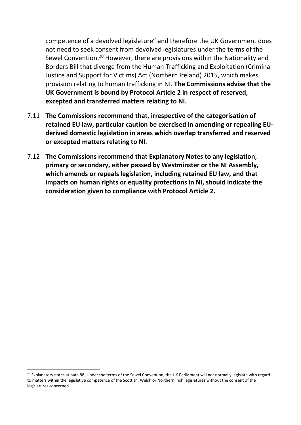competence of a devolved legislature" and therefore the UK Government does not need to seek consent from devolved legislatures under the terms of the Sewel Convention.<sup>20</sup> However, there are provisions within the Nationality and Borders Bill that diverge from the Human Trafficking and Exploitation (Criminal Justice and Support for Victims) Act (Northern Ireland) 2015, which makes provision relating to human trafficking in NI. **The Commissions advise that the UK Government is bound by Protocol Article 2 in respect of reserved, excepted and transferred matters relating to NI.** 

- 7.11 **The Commissions recommend that, irrespective of the categorisation of retained EU law, particular caution be exercised in amending or repealing EUderived domestic legislation in areas which overlap transferred and reserved or excepted matters relating to NI**.
- 7.12 **The Commissions recommend that Explanatory Notes to any legislation, primary or secondary, either passed by Westminster or the NI Assembly, which amends or repeals legislation, including retained EU law, and that impacts on human rights or equality protections in NI, should indicate the consideration given to compliance with Protocol Article 2.**

<sup>&</sup>lt;sup>20</sup> Explanatory notes at para 88; Under the terms of the Sewel Convention, the UK Parliament will not normally legislate with regard to matters within the legislative competence of the Scottish, Welsh or Northern Irish legislatures without the consent of the legislatures concerned.